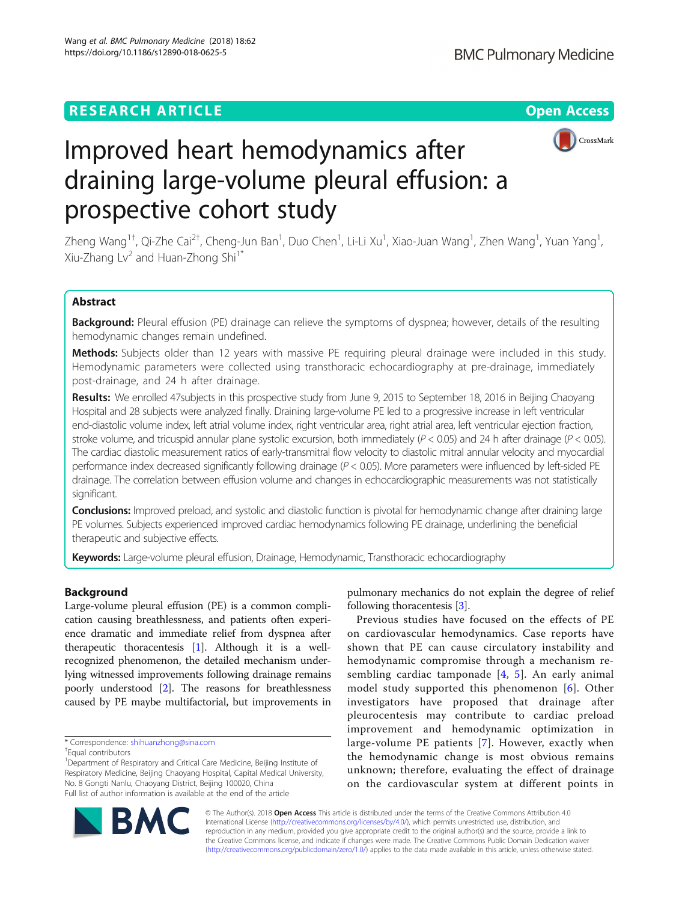## **RESEARCH ARTICLE Example 2018 12:30 THE Open Access**



# Improved heart hemodynamics after draining large-volume pleural effusion: a prospective cohort study

Zheng Wang<sup>1†</sup>, Qi-Zhe Cai<sup>2†</sup>, Cheng-Jun Ban<sup>1</sup>, Duo Chen<sup>1</sup>, Li-Li Xu<sup>1</sup>, Xiao-Juan Wang<sup>1</sup>, Zhen Wang<sup>1</sup>, Yuan Yang<sup>1</sup> , Xiu-Zhang Lv<sup>2</sup> and Huan-Zhong Shi<sup>1\*</sup>

## Abstract

Background: Pleural effusion (PE) drainage can relieve the symptoms of dyspnea; however, details of the resulting hemodynamic changes remain undefined.

Methods: Subjects older than 12 years with massive PE requiring pleural drainage were included in this study. Hemodynamic parameters were collected using transthoracic echocardiography at pre-drainage, immediately post-drainage, and 24 h after drainage.

Results: We enrolled 47subjects in this prospective study from June 9, 2015 to September 18, 2016 in Beijing Chaoyang Hospital and 28 subjects were analyzed finally. Draining large-volume PE led to a progressive increase in left ventricular end-diastolic volume index, left atrial volume index, right ventricular area, right atrial area, left ventricular ejection fraction, stroke volume, and tricuspid annular plane systolic excursion, both immediately ( $P < 0.05$ ) and 24 h after drainage ( $P < 0.05$ ). The cardiac diastolic measurement ratios of early-transmitral flow velocity to diastolic mitral annular velocity and myocardial performance index decreased significantly following drainage ( $P < 0.05$ ). More parameters were influenced by left-sided PE drainage. The correlation between effusion volume and changes in echocardiographic measurements was not statistically significant.

**Conclusions:** Improved preload, and systolic and diastolic function is pivotal for hemodynamic change after draining large PE volumes. Subjects experienced improved cardiac hemodynamics following PE drainage, underlining the beneficial therapeutic and subjective effects.

Keywords: Large-volume pleural effusion, Drainage, Hemodynamic, Transthoracic echocardiography

## Background

Large-volume pleural effusion (PE) is a common complication causing breathlessness, and patients often experience dramatic and immediate relief from dyspnea after therapeutic thoracentesis [\[1](#page-7-0)]. Although it is a wellrecognized phenomenon, the detailed mechanism underlying witnessed improvements following drainage remains poorly understood [[2\]](#page-7-0). The reasons for breathlessness caused by PE maybe multifactorial, but improvements in

pulmonary mechanics do not explain the degree of relief following thoracentesis [\[3](#page-7-0)].

Previous studies have focused on the effects of PE on cardiovascular hemodynamics. Case reports have shown that PE can cause circulatory instability and hemodynamic compromise through a mechanism resembling cardiac tamponade [\[4](#page-7-0), [5\]](#page-7-0). An early animal model study supported this phenomenon [[6\]](#page-7-0). Other investigators have proposed that drainage after pleurocentesis may contribute to cardiac preload improvement and hemodynamic optimization in large-volume PE patients [[7\]](#page-7-0). However, exactly when the hemodynamic change is most obvious remains unknown; therefore, evaluating the effect of drainage on the cardiovascular system at different points in



© The Author(s). 2018 Open Access This article is distributed under the terms of the Creative Commons Attribution 4.0 International License [\(http://creativecommons.org/licenses/by/4.0/](http://creativecommons.org/licenses/by/4.0/)), which permits unrestricted use, distribution, and reproduction in any medium, provided you give appropriate credit to the original author(s) and the source, provide a link to the Creative Commons license, and indicate if changes were made. The Creative Commons Public Domain Dedication waiver [\(http://creativecommons.org/publicdomain/zero/1.0/](http://creativecommons.org/publicdomain/zero/1.0/)) applies to the data made available in this article, unless otherwise stated.

<sup>\*</sup> Correspondence: [shihuanzhong@sina.com](mailto:shihuanzhong@sina.com) †

Equal contributors

<sup>&</sup>lt;sup>1</sup>Department of Respiratory and Critical Care Medicine, Beijing Institute of Respiratory Medicine, Beijing Chaoyang Hospital, Capital Medical University, No. 8 Gongti Nanlu, Chaoyang District, Beijing 100020, China Full list of author information is available at the end of the article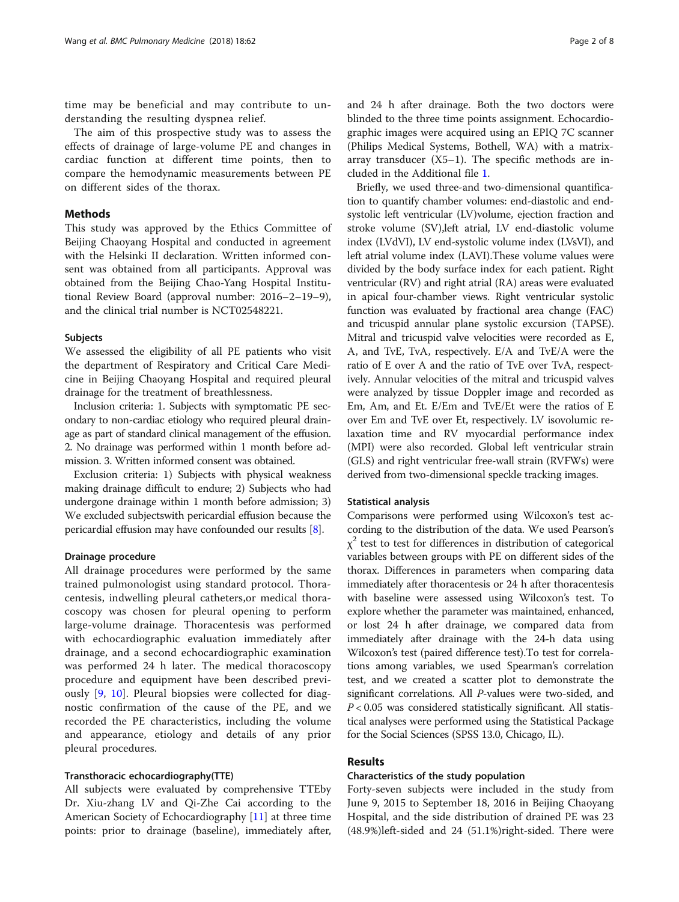time may be beneficial and may contribute to understanding the resulting dyspnea relief.

The aim of this prospective study was to assess the effects of drainage of large-volume PE and changes in cardiac function at different time points, then to compare the hemodynamic measurements between PE on different sides of the thorax.

## **Methods**

This study was approved by the Ethics Committee of Beijing Chaoyang Hospital and conducted in agreement with the Helsinki II declaration. Written informed consent was obtained from all participants. Approval was obtained from the Beijing Chao-Yang Hospital Institutional Review Board (approval number: 2016–2–19–9), and the clinical trial number is NCT02548221.

#### Subjects

We assessed the eligibility of all PE patients who visit the department of Respiratory and Critical Care Medicine in Beijing Chaoyang Hospital and required pleural drainage for the treatment of breathlessness.

Inclusion criteria: 1. Subjects with symptomatic PE secondary to non-cardiac etiology who required pleural drainage as part of standard clinical management of the effusion. 2. No drainage was performed within 1 month before admission. 3. Written informed consent was obtained.

Exclusion criteria: 1) Subjects with physical weakness making drainage difficult to endure; 2) Subjects who had undergone drainage within 1 month before admission; 3) We excluded subjectswith pericardial effusion because the pericardial effusion may have confounded our results [\[8](#page-7-0)].

## Drainage procedure

All drainage procedures were performed by the same trained pulmonologist using standard protocol. Thoracentesis, indwelling pleural catheters,or medical thoracoscopy was chosen for pleural opening to perform large-volume drainage. Thoracentesis was performed with echocardiographic evaluation immediately after drainage, and a second echocardiographic examination was performed 24 h later. The medical thoracoscopy procedure and equipment have been described previously [[9,](#page-7-0) [10](#page-7-0)]. Pleural biopsies were collected for diagnostic confirmation of the cause of the PE, and we recorded the PE characteristics, including the volume and appearance, etiology and details of any prior pleural procedures.

## Transthoracic echocardiography(TTE)

All subjects were evaluated by comprehensive TTEby Dr. Xiu-zhang LV and Qi-Zhe Cai according to the American Society of Echocardiography [[11\]](#page-7-0) at three time points: prior to drainage (baseline), immediately after,

and 24 h after drainage. Both the two doctors were blinded to the three time points assignment. Echocardiographic images were acquired using an EPIQ 7C scanner (Philips Medical Systems, Bothell, WA) with a matrixarray transducer (X5–1). The specific methods are included in the Additional file [1.](#page-6-0)

Briefly, we used three-and two-dimensional quantification to quantify chamber volumes: end-diastolic and endsystolic left ventricular (LV)volume, ejection fraction and stroke volume (SV),left atrial, LV end-diastolic volume index (LVdVI), LV end-systolic volume index (LVsVI), and left atrial volume index (LAVI).These volume values were divided by the body surface index for each patient. Right ventricular (RV) and right atrial (RA) areas were evaluated in apical four-chamber views. Right ventricular systolic function was evaluated by fractional area change (FAC) and tricuspid annular plane systolic excursion (TAPSE). Mitral and tricuspid valve velocities were recorded as E, A, and TvE, TvA, respectively. E/A and TvE/A were the ratio of E over A and the ratio of TvE over TvA, respectively. Annular velocities of the mitral and tricuspid valves were analyzed by tissue Doppler image and recorded as Em, Am, and Et. E/Em and TvE/Et were the ratios of E over Em and TvE over Et, respectively. LV isovolumic relaxation time and RV myocardial performance index (MPI) were also recorded. Global left ventricular strain (GLS) and right ventricular free-wall strain (RVFWs) were derived from two-dimensional speckle tracking images.

#### Statistical analysis

Comparisons were performed using Wilcoxon's test according to the distribution of the data. We used Pearson's  $\chi^2$  test to test for differences in distribution of categorical variables between groups with PE on different sides of the thorax. Differences in parameters when comparing data immediately after thoracentesis or 24 h after thoracentesis with baseline were assessed using Wilcoxon's test. To explore whether the parameter was maintained, enhanced, or lost 24 h after drainage, we compared data from immediately after drainage with the 24-h data using Wilcoxon's test (paired difference test).To test for correlations among variables, we used Spearman's correlation test, and we created a scatter plot to demonstrate the significant correlations. All P-values were two-sided, and  $P < 0.05$  was considered statistically significant. All statistical analyses were performed using the Statistical Package for the Social Sciences (SPSS 13.0, Chicago, IL).

#### Results

## Characteristics of the study population

Forty-seven subjects were included in the study from June 9, 2015 to September 18, 2016 in Beijing Chaoyang Hospital, and the side distribution of drained PE was 23 (48.9%)left-sided and 24 (51.1%)right-sided. There were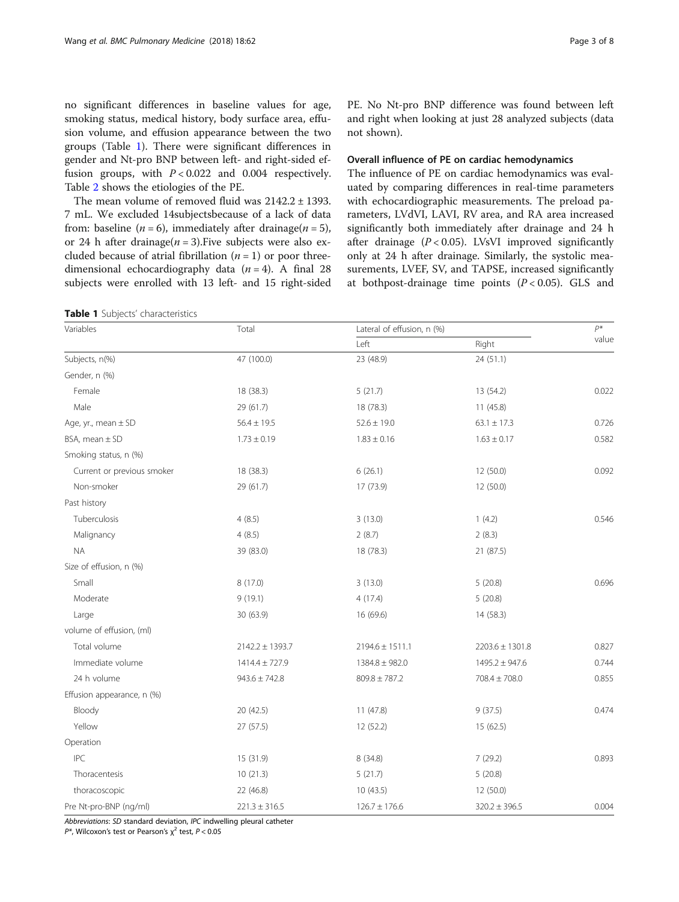no significant differences in baseline values for age, smoking status, medical history, body surface area, effusion volume, and effusion appearance between the two groups (Table 1). There were significant differences in gender and Nt-pro BNP between left- and right-sided effusion groups, with  $P < 0.022$  and 0.004 respectively. Table [2](#page-3-0) shows the etiologies of the PE.

The mean volume of removed fluid was 2142.2 ± 1393. 7 mL. We excluded 14subjectsbecause of a lack of data from: baseline ( $n = 6$ ), immediately after drainage( $n = 5$ ), or 24 h after drainage( $n = 3$ ). Five subjects were also excluded because of atrial fibrillation  $(n = 1)$  or poor threedimensional echocardiography data  $(n = 4)$ . A final 28 subjects were enrolled with 13 left- and 15 right-sided

| Table 1 Subjects' characteristics |  |
|-----------------------------------|--|
|-----------------------------------|--|

PE. No Nt-pro BNP difference was found between left and right when looking at just 28 analyzed subjects (data not shown).

## Overall influence of PE on cardiac hemodynamics

The influence of PE on cardiac hemodynamics was evaluated by comparing differences in real-time parameters with echocardiographic measurements. The preload parameters, LVdVI, LAVI, RV area, and RA area increased significantly both immediately after drainage and 24 h after drainage  $(P < 0.05)$ . LVsVI improved significantly only at 24 h after drainage. Similarly, the systolic measurements, LVEF, SV, and TAPSE, increased significantly at bothpost-drainage time points  $(P < 0.05)$ . GLS and

| Variables                  | Total               |                     | Lateral of effusion, n (%) |       |
|----------------------------|---------------------|---------------------|----------------------------|-------|
|                            |                     | Left                | Right                      | value |
| Subjects, n(%)             | 47 (100.0)          | 23 (48.9)           | 24 (51.1)                  |       |
| Gender, n (%)              |                     |                     |                            |       |
| Female                     | 18 (38.3)           | 5(21.7)             | 13 (54.2)                  | 0.022 |
| Male                       | 29 (61.7)           | 18 (78.3)           | 11(45.8)                   |       |
| Age, yr., mean ± SD        | $56.4 \pm 19.5$     | $52.6 \pm 19.0$     | $63.1 \pm 17.3$            | 0.726 |
| BSA, mean ± SD             | $1.73 \pm 0.19$     | $1.83 \pm 0.16$     | $1.63 \pm 0.17$            | 0.582 |
| Smoking status, n (%)      |                     |                     |                            |       |
| Current or previous smoker | 18 (38.3)           | 6(26.1)             | 12 (50.0)                  | 0.092 |
| Non-smoker                 | 29 (61.7)           | 17 (73.9)           | 12 (50.0)                  |       |
| Past history               |                     |                     |                            |       |
| Tuberculosis               | 4(8.5)              | 3(13.0)             | 1(4.2)                     | 0.546 |
| Malignancy                 | 4(8.5)              | 2(8.7)              | 2(8.3)                     |       |
| <b>NA</b>                  | 39 (83.0)           | 18 (78.3)           | 21 (87.5)                  |       |
| Size of effusion, n (%)    |                     |                     |                            |       |
| Small                      | 8 (17.0)            | 3(13.0)             | 5(20.8)                    | 0.696 |
| Moderate                   | 9(19.1)             | 4(17.4)             | 5(20.8)                    |       |
| Large                      | 30 (63.9)           | 16 (69.6)           | 14 (58.3)                  |       |
| volume of effusion, (ml)   |                     |                     |                            |       |
| Total volume               | $2142.2 \pm 1393.7$ | $2194.6 \pm 1511.1$ | $2203.6 \pm 1301.8$        | 0.827 |
| Immediate volume           | $1414.4 \pm 727.9$  | $1384.8 \pm 982.0$  | $1495.2 \pm 947.6$         | 0.744 |
| 24 h volume                | $943.6 \pm 742.8$   | $809.8 \pm 787.2$   | $708.4 \pm 708.0$          | 0.855 |
| Effusion appearance, n (%) |                     |                     |                            |       |
| Bloody                     | 20 (42.5)           | 11 (47.8)           | 9(37.5)                    | 0.474 |
| Yellow                     | 27 (57.5)           | 12 (52.2)           | 15 (62.5)                  |       |
| Operation                  |                     |                     |                            |       |
| <b>IPC</b>                 | 15 (31.9)           | 8 (34.8)            | 7 (29.2)                   | 0.893 |
| Thoracentesis              | 10(21.3)            | 5(21.7)             | 5(20.8)                    |       |
| thoracoscopic              | 22 (46.8)           | 10(43.5)            | 12 (50.0)                  |       |
| Pre Nt-pro-BNP (ng/ml)     | $221.3 \pm 316.5$   | $126.7 \pm 176.6$   | $320.2 \pm 396.5$          | 0.004 |

Abbreviations: SD standard deviation, IPC indwelling pleural catheter

 $P^*$ , Wilcoxon's test or Pearson's  $\chi^2$  test,  $P < 0.05$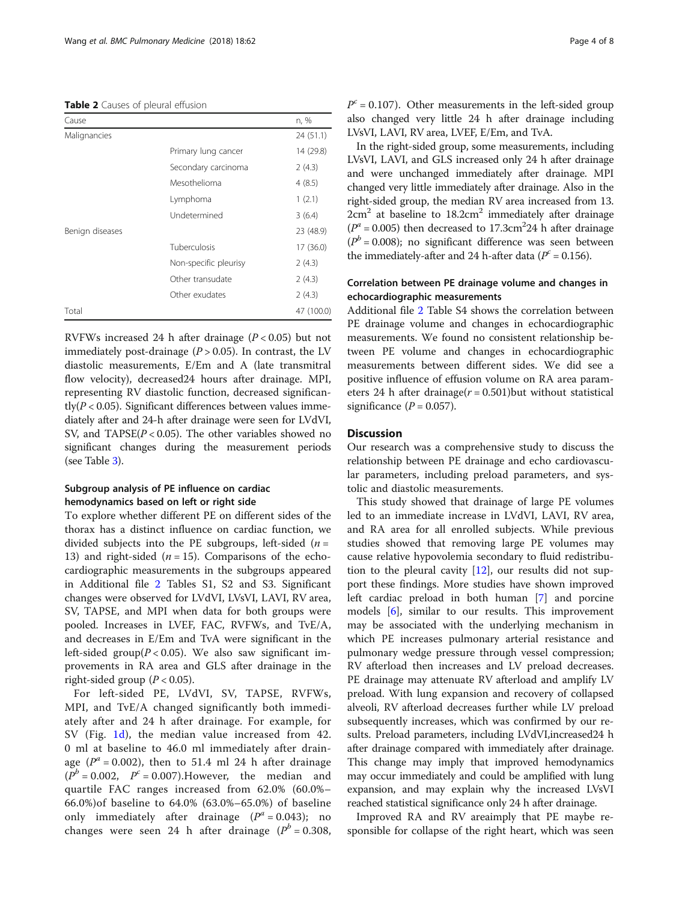### <span id="page-3-0"></span>Table 2 Causes of pleural effusion

| Cause           |                       | n, %       |
|-----------------|-----------------------|------------|
| Malignancies    |                       | 24 (51.1)  |
|                 | Primary lung cancer   | 14 (29.8)  |
|                 | Secondary carcinoma   | 2(4.3)     |
|                 | Mesothelioma          | 4(8.5)     |
|                 | Lymphoma              | 1(2.1)     |
|                 | Undetermined          | 3(6.4)     |
| Benign diseases |                       | 23 (48.9)  |
|                 | Tuberculosis          | 17 (36.0)  |
|                 | Non-specific pleurisy | 2(4.3)     |
|                 | Other transudate      | 2(4.3)     |
|                 | Other exudates        | 2(4.3)     |
| Total           |                       | 47 (100.0) |
|                 |                       |            |

RVFWs increased 24 h after drainage  $(P < 0.05)$  but not immediately post-drainage  $(P > 0.05)$ . In contrast, the LV diastolic measurements, E/Em and A (late transmitral flow velocity), decreased24 hours after drainage. MPI, representing RV diastolic function, decreased significan $t\text{dv}(P<0.05)$ . Significant differences between values immediately after and 24-h after drainage were seen for LVdVI, SV, and  $TAPSE(P < 0.05)$ . The other variables showed no significant changes during the measurement periods (see Table [3](#page-4-0)).

## Subgroup analysis of PE influence on cardiac hemodynamics based on left or right side

To explore whether different PE on different sides of the thorax has a distinct influence on cardiac function, we divided subjects into the PE subgroups, left-sided ( $n =$ 13) and right-sided  $(n = 15)$ . Comparisons of the echocardiographic measurements in the subgroups appeared in Additional file [2](#page-6-0) Tables S1, S2 and S3. Significant changes were observed for LVdVI, LVsVI, LAVI, RV area, SV, TAPSE, and MPI when data for both groups were pooled. Increases in LVEF, FAC, RVFWs, and TvE/A, and decreases in E/Em and TvA were significant in the left-sided group( $P < 0.05$ ). We also saw significant improvements in RA area and GLS after drainage in the right-sided group ( $P < 0.05$ ).

For left-sided PE, LVdVI, SV, TAPSE, RVFWs, MPI, and TvE/A changed significantly both immediately after and 24 h after drainage. For example, for SV (Fig. [1d\)](#page-5-0), the median value increased from 42. 0 ml at baseline to 46.0 ml immediately after drainage ( $P^{\alpha}$  = 0.002), then to 51.4 ml 24 h after drainage  $(P<sup>b</sup> = 0.002, P<sup>c</sup> = 0.007)$ . However, the median and quartile FAC ranges increased from 62.0% (60.0%– 66.0%)of baseline to 64.0% (63.0%–65.0%) of baseline only immediately after drainage  $(P^a = 0.043)$ ; no changes were seen 24 h after drainage ( $P<sup>b</sup> = 0.308$ ,  $P^c = 0.107$ ). Other measurements in the left-sided group also changed very little 24 h after drainage including LVsVI, LAVI, RV area, LVEF, E/Em, and TvA.

In the right-sided group, some measurements, including LVsVI, LAVI, and GLS increased only 24 h after drainage and were unchanged immediately after drainage. MPI changed very little immediately after drainage. Also in the right-sided group, the median RV area increased from 13.  $2cm<sup>2</sup>$  at baseline to  $18.2cm<sup>2</sup>$  immediately after drainage  $(P^a = 0.005)$  then decreased to 17.3cm<sup>2</sup>24 h after drainage  $(P<sup>b</sup> = 0.008)$ ; no significant difference was seen between the immediately-after and 24 h-after data ( $P^c = 0.156$ ).

## Correlation between PE drainage volume and changes in echocardiographic measurements

Additional file [2](#page-6-0) Table S4 shows the correlation between PE drainage volume and changes in echocardiographic measurements. We found no consistent relationship between PE volume and changes in echocardiographic measurements between different sides. We did see a positive influence of effusion volume on RA area parameters 24 h after drainage( $r = 0.501$ ) but without statistical significance  $(P = 0.057)$ .

## **Discussion**

Our research was a comprehensive study to discuss the relationship between PE drainage and echo cardiovascular parameters, including preload parameters, and systolic and diastolic measurements.

This study showed that drainage of large PE volumes led to an immediate increase in LVdVI, LAVI, RV area, and RA area for all enrolled subjects. While previous studies showed that removing large PE volumes may cause relative hypovolemia secondary to fluid redistribution to the pleural cavity  $[12]$  $[12]$ , our results did not support these findings. More studies have shown improved left cardiac preload in both human [\[7](#page-7-0)] and porcine models [[6\]](#page-7-0), similar to our results. This improvement may be associated with the underlying mechanism in which PE increases pulmonary arterial resistance and pulmonary wedge pressure through vessel compression; RV afterload then increases and LV preload decreases. PE drainage may attenuate RV afterload and amplify LV preload. With lung expansion and recovery of collapsed alveoli, RV afterload decreases further while LV preload subsequently increases, which was confirmed by our results. Preload parameters, including LVdVI,increased24 h after drainage compared with immediately after drainage. This change may imply that improved hemodynamics may occur immediately and could be amplified with lung expansion, and may explain why the increased LVsVI reached statistical significance only 24 h after drainage.

Improved RA and RV areaimply that PE maybe responsible for collapse of the right heart, which was seen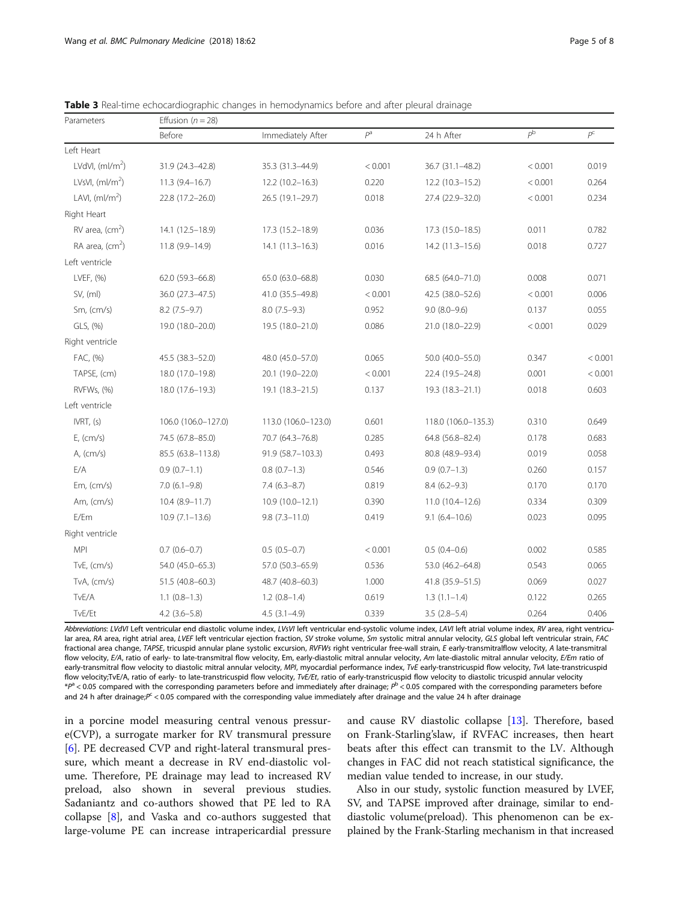| Parameters         | Effusion ( $n = 28$ ) |                     |         |                     |             |             |
|--------------------|-----------------------|---------------------|---------|---------------------|-------------|-------------|
|                    | Before                | Immediately After   | $P^a$   | 24 h After          | $P^{\rm b}$ | $P^{\rm C}$ |
| Left Heart         |                       |                     |         |                     |             |             |
| LVdVI, $(mI/m2)$   | 31.9 (24.3-42.8)      | 35.3 (31.3-44.9)    | < 0.001 | 36.7 (31.1-48.2)    | < 0.001     | 0.019       |
| LVsVI, $(mI/m2)$   | $11.3(9.4-16.7)$      | $12.2(10.2 - 16.3)$ | 0.220   | 12.2 (10.3-15.2)    | < 0.001     | 0.264       |
| LAVI, $(mI/m2)$    | 22.8 (17.2-26.0)      | 26.5 (19.1-29.7)    | 0.018   | 27.4 (22.9-32.0)    | < 0.001     | 0.234       |
| Right Heart        |                       |                     |         |                     |             |             |
| $RV$ area, $(cm2)$ | 14.1 (12.5-18.9)      | 17.3 (15.2-18.9)    | 0.036   | 17.3 (15.0–18.5)    | 0.011       | 0.782       |
| RA area, $(cm2)$   | 11.8 (9.9-14.9)       | $14.1(11.3-16.3)$   | 0.016   | 14.2 (11.3–15.6)    | 0.018       | 0.727       |
| Left ventricle     |                       |                     |         |                     |             |             |
| LVEF, (%)          | 62.0 (59.3-66.8)      | 65.0 (63.0-68.8)    | 0.030   | 68.5 (64.0-71.0)    | 0.008       | 0.071       |
| SV, (ml)           | 36.0 (27.3-47.5)      | 41.0 (35.5-49.8)    | < 0.001 | 42.5 (38.0-52.6)    | < 0.001     | 0.006       |
| Sm, (cm/s)         | $8.2(7.5-9.7)$        | $8.0(7.5-9.3)$      | 0.952   | $9.0(8.0-9.6)$      | 0.137       | 0.055       |
| GLS, (%)           | 19.0 (18.0-20.0)      | 19.5 (18.0-21.0)    | 0.086   | 21.0 (18.0-22.9)    | < 0.001     | 0.029       |
| Right ventricle    |                       |                     |         |                     |             |             |
| FAC, (%)           | 45.5 (38.3 - 52.0)    | 48.0 (45.0-57.0)    | 0.065   | 50.0 (40.0-55.0)    | 0.347       | < 0.001     |
| TAPSE, (cm)        | 18.0 (17.0-19.8)      | 20.1 (19.0-22.0)    | < 0.001 | 22.4 (19.5 - 24.8)  | 0.001       | < 0.001     |
| RVFWs, (%)         | 18.0 (17.6-19.3)      | 19.1 (18.3-21.5)    | 0.137   | $19.3(18.3 - 21.1)$ | 0.018       | 0.603       |
| Left ventricle     |                       |                     |         |                     |             |             |
| IVRT, (s)          | 106.0 (106.0-127.0)   | 113.0 (106.0-123.0) | 0.601   | 118.0 (106.0-135.3) | 0.310       | 0.649       |
| E, (cm/s)          | 74.5 (67.8-85.0)      | 70.7 (64.3-76.8)    | 0.285   | 64.8 (56.8-82.4)    | 0.178       | 0.683       |
| A, (cm/s)          | 85.5 (63.8-113.8)     | 91.9 (58.7-103.3)   | 0.493   | 80.8 (48.9-93.4)    | 0.019       | 0.058       |
| E/A                | $0.9(0.7-1.1)$        | $0.8(0.7-1.3)$      | 0.546   | $0.9(0.7-1.3)$      | 0.260       | 0.157       |
| Em, (cm/s)         | $7.0(6.1-9.8)$        | $7.4(6.3-8.7)$      | 0.819   | $8.4(6.2 - 9.3)$    | 0.170       | 0.170       |
| Am, $(cm/s)$       | $10.4(8.9-11.7)$      | $10.9(10.0-12.1)$   | 0.390   | $11.0(10.4-12.6)$   | 0.334       | 0.309       |
| E/Em               | $10.9(7.1-13.6)$      | $9.8(7.3 - 11.0)$   | 0.419   | $9.1(6.4-10.6)$     | 0.023       | 0.095       |
| Right ventricle    |                       |                     |         |                     |             |             |
| <b>MPI</b>         | $0.7(0.6-0.7)$        | $0.5(0.5-0.7)$      | < 0.001 | $0.5(0.4-0.6)$      | 0.002       | 0.585       |
| TvE, (cm/s)        | 54.0 (45.0-65.3)      | 57.0 (50.3-65.9)    | 0.536   | 53.0 (46.2-64.8)    | 0.543       | 0.065       |
| TvA, (cm/s)        | 51.5 (40.8-60.3)      | 48.7 (40.8-60.3)    | 1.000   | 41.8 (35.9 - 51.5)  | 0.069       | 0.027       |
| TvE/A              | $1.1(0.8-1.3)$        | $1.2(0.8-1.4)$      | 0.619   | $1.3(1.1-1.4)$      | 0.122       | 0.265       |
| TvE/Et             | $4.2$ (3.6-5.8)       | $4.5(3.1-4.9)$      | 0.339   | $3.5(2.8-5.4)$      | 0.264       | 0.406       |

<span id="page-4-0"></span>Table 3 Real-time echocardiographic changes in hemodynamics before and after pleural drainage

Abbreviations: LVdVI Left ventricular end diastolic volume index, LVsVI left ventricular end-systolic volume index, LAVI left atrial volume index, RV area, right ventricular area, RA area, right atrial area, LVEF left ventricular ejection fraction, SV stroke volume, Sm systolic mitral annular velocity, GLS global left ventricular strain, FAC fractional area change, TAPSE, tricuspid annular plane systolic excursion, RVFWs right ventricular free-wall strain, E early-transmitralflow velocity, A late-transmitral flow velocity, E/A, ratio of early- to late-transmitral flow velocity, Em, early-diastolic mitral annular velocity, Am late-diastolic mitral annular velocity, E/Em ratio of early-transmitral flow velocity to diastolic mitral annular velocity, MPI, myocardial performance index, TvE early-transtricuspid flow velocity, TvA late-transtricuspid flow velocity;TvE/A, ratio of early- to late-transtricuspid flow velocity, TvE/Et, ratio of early-transtricuspid flow velocity to diastolic tricuspid annular velocity  $*P^a$  < 0.05 compared with the corresponding parameters before and immediately after drainage;  $P^b$  < 0.05 compared with the corresponding parameters before and 24 h after drainage; $P^c < 0.05$  compared with the corresponding value immediately after drainage and the value 24 h after drainage

in a porcine model measuring central venous pressure(CVP), a surrogate marker for RV transmural pressure [[6\]](#page-7-0). PE decreased CVP and right-lateral transmural pressure, which meant a decrease in RV end-diastolic volume. Therefore, PE drainage may lead to increased RV preload, also shown in several previous studies. Sadaniantz and co-authors showed that PE led to RA collapse [\[8](#page-7-0)], and Vaska and co-authors suggested that large-volume PE can increase intrapericardial pressure and cause RV diastolic collapse [\[13](#page-7-0)]. Therefore, based on Frank-Starling'slaw, if RVFAC increases, then heart beats after this effect can transmit to the LV. Although changes in FAC did not reach statistical significance, the median value tended to increase, in our study.

Also in our study, systolic function measured by LVEF, SV, and TAPSE improved after drainage, similar to enddiastolic volume(preload). This phenomenon can be explained by the Frank-Starling mechanism in that increased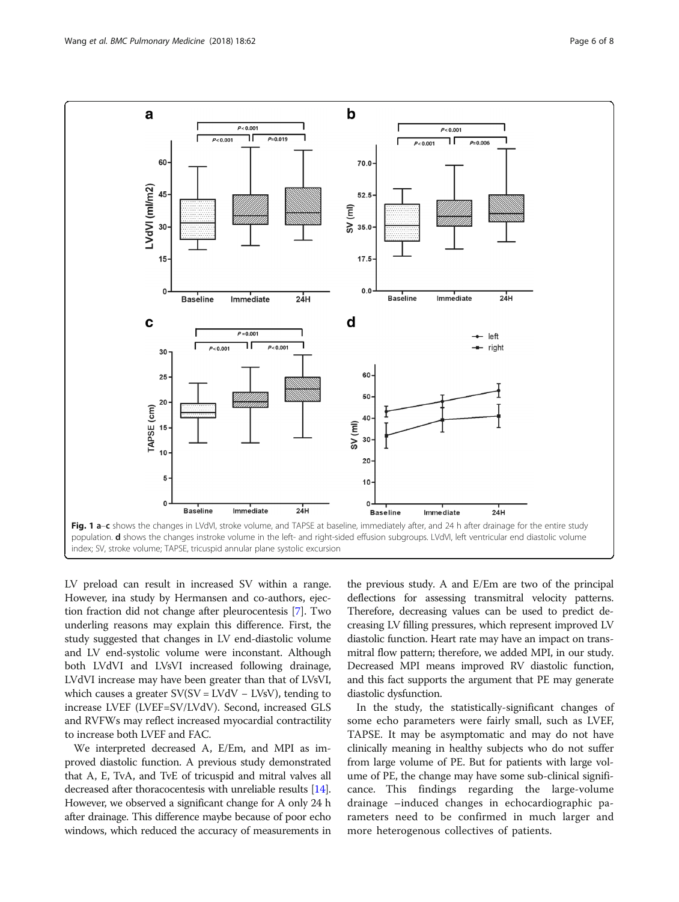<span id="page-5-0"></span>

LV preload can result in increased SV within a range. However, ina study by Hermansen and co-authors, ejection fraction did not change after pleurocentesis [\[7\]](#page-7-0). Two underling reasons may explain this difference. First, the study suggested that changes in LV end-diastolic volume and LV end-systolic volume were inconstant. Although both LVdVI and LVsVI increased following drainage, LVdVI increase may have been greater than that of LVsVI, which causes a greater  $SV(SV = LVdV - LVsV)$ , tending to increase LVEF (LVEF=SV/LVdV). Second, increased GLS and RVFWs may reflect increased myocardial contractility to increase both LVEF and FAC.

We interpreted decreased A, E/Em, and MPI as improved diastolic function. A previous study demonstrated that A, E, TvA, and TvE of tricuspid and mitral valves all decreased after thoracocentesis with unreliable results [\[14](#page-7-0)]. However, we observed a significant change for A only 24 h after drainage. This difference maybe because of poor echo windows, which reduced the accuracy of measurements in the previous study. A and E/Em are two of the principal deflections for assessing transmitral velocity patterns. Therefore, decreasing values can be used to predict decreasing LV filling pressures, which represent improved LV diastolic function. Heart rate may have an impact on transmitral flow pattern; therefore, we added MPI, in our study. Decreased MPI means improved RV diastolic function, and this fact supports the argument that PE may generate diastolic dysfunction.

In the study, the statistically-significant changes of some echo parameters were fairly small, such as LVEF, TAPSE. It may be asymptomatic and may do not have clinically meaning in healthy subjects who do not suffer from large volume of PE. But for patients with large volume of PE, the change may have some sub-clinical significance. This findings regarding the large-volume drainage –induced changes in echocardiographic parameters need to be confirmed in much larger and more heterogenous collectives of patients.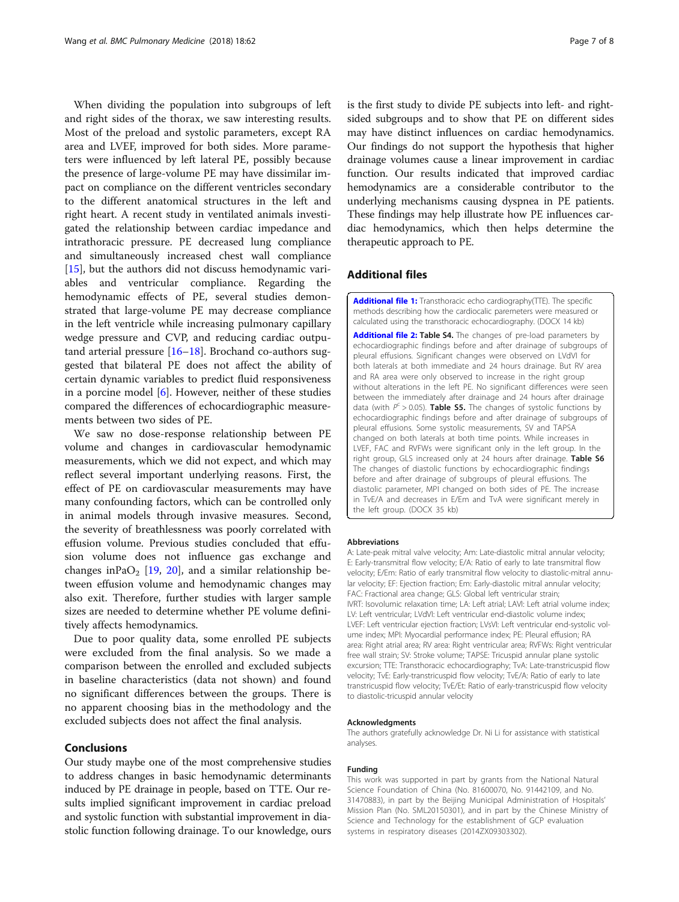<span id="page-6-0"></span>When dividing the population into subgroups of left and right sides of the thorax, we saw interesting results. Most of the preload and systolic parameters, except RA area and LVEF, improved for both sides. More parameters were influenced by left lateral PE, possibly because the presence of large-volume PE may have dissimilar impact on compliance on the different ventricles secondary to the different anatomical structures in the left and right heart. A recent study in ventilated animals investigated the relationship between cardiac impedance and intrathoracic pressure. PE decreased lung compliance and simultaneously increased chest wall compliance [[15\]](#page-7-0), but the authors did not discuss hemodynamic variables and ventricular compliance. Regarding the hemodynamic effects of PE, several studies demonstrated that large-volume PE may decrease compliance in the left ventricle while increasing pulmonary capillary wedge pressure and CVP, and reducing cardiac outputand arterial pressure [\[16](#page-7-0)–[18\]](#page-7-0). Brochand co-authors suggested that bilateral PE does not affect the ability of certain dynamic variables to predict fluid responsiveness in a porcine model  $[6]$  $[6]$ . However, neither of these studies compared the differences of echocardiographic measurements between two sides of PE.

We saw no dose-response relationship between PE volume and changes in cardiovascular hemodynamic measurements, which we did not expect, and which may reflect several important underlying reasons. First, the effect of PE on cardiovascular measurements may have many confounding factors, which can be controlled only in animal models through invasive measures. Second, the severity of breathlessness was poorly correlated with effusion volume. Previous studies concluded that effusion volume does not influence gas exchange and changes inPaO<sub>2</sub> [[19,](#page-7-0) [20\]](#page-7-0), and a similar relationship between effusion volume and hemodynamic changes may also exit. Therefore, further studies with larger sample sizes are needed to determine whether PE volume definitively affects hemodynamics.

Due to poor quality data, some enrolled PE subjects were excluded from the final analysis. So we made a comparison between the enrolled and excluded subjects in baseline characteristics (data not shown) and found no significant differences between the groups. There is no apparent choosing bias in the methodology and the excluded subjects does not affect the final analysis.

## Conclusions

Our study maybe one of the most comprehensive studies to address changes in basic hemodynamic determinants induced by PE drainage in people, based on TTE. Our results implied significant improvement in cardiac preload and systolic function with substantial improvement in diastolic function following drainage. To our knowledge, ours is the first study to divide PE subjects into left- and rightsided subgroups and to show that PE on different sides may have distinct influences on cardiac hemodynamics. Our findings do not support the hypothesis that higher drainage volumes cause a linear improvement in cardiac function. Our results indicated that improved cardiac hemodynamics are a considerable contributor to the underlying mechanisms causing dyspnea in PE patients. These findings may help illustrate how PE influences cardiac hemodynamics, which then helps determine the therapeutic approach to PE.

## Additional files

[Additional file 1:](https://doi.org/10.1186/s12890-018-0625-5) Transthoracic echo cardiography(TTE). The specific methods describing how the cardiocalic paremeters were measured or calculated using the transthoracic echocardiography. (DOCX 14 kb)

[Additional file 2:](https://doi.org/10.1186/s12890-018-0625-5) Table S4. The changes of pre-load parameters by echocardiographic findings before and after drainage of subgroups of pleural effusions. Significant changes were observed on LVdVI for both laterals at both immediate and 24 hours drainage. But RV area and RA area were only observed to increase in the right group without alterations in the left PE. No significant differences were seen between the immediately after drainage and 24 hours after drainage data (with  $P^c > 0.05$ ). **Table S5.** The changes of systolic functions by echocardiographic findings before and after drainage of subgroups of pleural effusions. Some systolic measurements, SV and TAPSA changed on both laterals at both time points. While increases in LVEF, FAC and RVFWs were significant only in the left group. In the right group, GLS increased only at 24 hours after drainage. Table S6 The changes of diastolic functions by echocardiographic findings before and after drainage of subgroups of pleural effusions. The diastolic parameter, MPI changed on both sides of PE. The increase in TvE/A and decreases in E/Em and TvA were significant merely in the left group. (DOCX 35 kb)

#### Abbreviations

A: Late-peak mitral valve velocity; Am: Late-diastolic mitral annular velocity; E: Early-transmitral flow velocity; E/A: Ratio of early to late transmitral flow velocity; E/Em: Ratio of early transmitral flow velocity to diastolic-mitral annular velocity; EF: Ejection fraction; Em: Early-diastolic mitral annular velocity; FAC: Fractional area change; GLS: Global left ventricular strain; IVRT: Isovolumic relaxation time; LA: Left atrial; LAVI: Left atrial volume index; LV: Left ventricular; LVdVI: Left ventricular end-diastolic volume index; LVEF: Left ventricular ejection fraction; LVsVI: Left ventricular end-systolic volume index; MPI: Myocardial performance index; PE: Pleural effusion; RA area: Right atrial area; RV area: Right ventricular area; RVFWs: Right ventricular free wall strain; SV: Stroke volume; TAPSE: Tricuspid annular plane systolic excursion; TTE: Transthoracic echocardiography; TvA: Late-transtricuspid flow velocity; TvE: Early-transtricuspid flow velocity; TvE/A: Ratio of early to late transtricuspid flow velocity; TvE/Et: Ratio of early-transtricuspid flow velocity to diastolic-tricuspid annular velocity

#### Acknowledgments

The authors gratefully acknowledge Dr. Ni Li for assistance with statistical analyses.

#### Funding

This work was supported in part by grants from the National Natural Science Foundation of China (No. 81600070, No. 91442109, and No. 31470883), in part by the Beijing Municipal Administration of Hospitals' Mission Plan (No. SML20150301), and in part by the Chinese Ministry of Science and Technology for the establishment of GCP evaluation systems in respiratory diseases (2014ZX09303302).